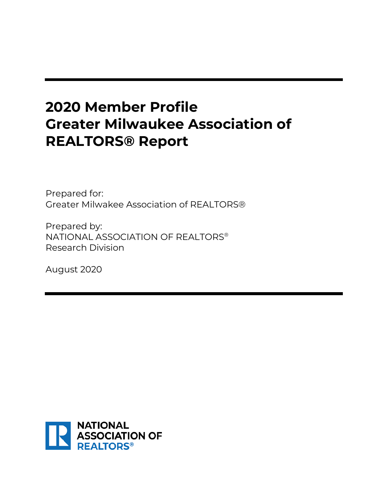# **2020 Member Profile Greater Milwaukee Association of REALTORS® Report**

Prepared for: Greater Milwakee Association of REALTORS®

Prepared by: NATIONAL ASSOCIATION OF REALTORS® Research Division

August 2020

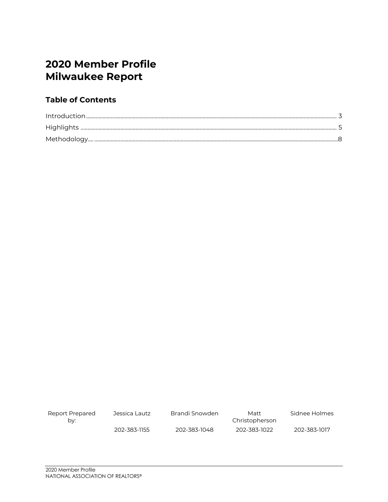# **2020 Member Profile Milwaukee Report**

### **Table of Contents**

| Report Prepared<br>bv: | Jessica Lautz | Brandi Snowden | Matt<br>Christopherson | Sidnee Holmes |
|------------------------|---------------|----------------|------------------------|---------------|
|                        | 202-383-1155  | 202-383-1048   | 202-383-1022           | 202-383-1017  |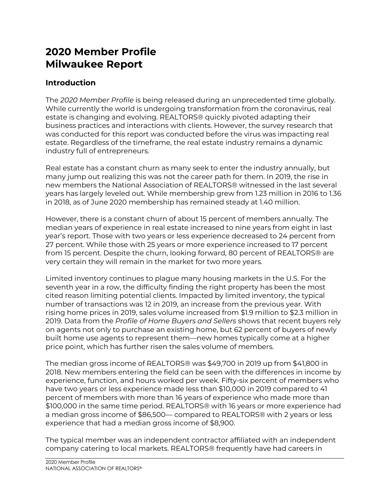# **2020 Member Profile Milwaukee Report**

### **Introduction**

The *2020 Member Profile* is being released during an unprecedented time globally. While currently the world is undergoing transformation from the coronavirus, real estate is changing and evolving. REALTORS® quickly pivoted adapting their business practices and interactions with clients. However, the survey research that was conducted for this report was conducted before the virus was impacting real estate. Regardless of the timeframe, the real estate industry remains a dynamic industry full of entrepreneurs.

Real estate has a constant churn as many seek to enter the industry annually, but many jump out realizing this was not the career path for them. In 2019, the rise in new members the National Association of REALTORS® witnessed in the last several years has largely leveled out. While membership grew from 1.23 million in 2016 to 1.36 in 2018, as of June 2020 membership has remained steady at 1.40 million.

However, there is a constant churn of about 15 percent of members annually. The median years of experience in real estate increased to nine years from eight in last year's report. Those with two years or less experience decreased to 24 percent from 27 percent. While those with 25 years or more experience increased to 17 percent from 15 percent. Despite the churn, looking forward, 80 percent of REALTORS® are very certain they will remain in the market for two more years.

Limited inventory continues to plague many housing markets in the U.S. For the seventh year in a row, the difficulty finding the right property has been the most cited reason limiting potential clients. Impacted by limited inventory, the typical number of transactions was 12 in 2019, an increase from the previous year. With rising home prices in 2019, sales volume increased from \$1.9 million to \$2.3 million in 2019. Data from the *Profile of Home Buyers and Sellers* shows that recent buyers rely on agents not only to purchase an existing home, but 62 percent of buyers of newly built home use agents to represent them—new homes typically come at a higher price point, which has further risen the sales volume of members.

The median gross income of REALTORS® was \$49,700 in 2019 up from \$41,800 in 2018. New members entering the field can be seen with the differences in income by experience, function, and hours worked per week. Fifty-six percent of members who have two years or less experience made less than \$10,000 in 2019 compared to 41 percent of members with more than 16 years of experience who made more than \$100,000 in the same time period. REALTORS® with 16 years or more experience had a median gross income of \$86,500— compared to REALTORS® with 2 years or less experience that had a median gross income of \$8,900.

The typical member was an independent contractor affiliated with an independent company catering to local markets. REALTORS® frequently have had careers in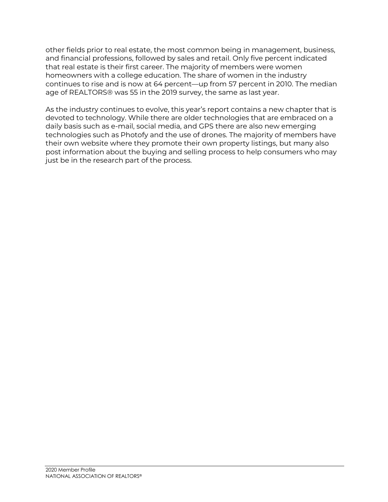other fields prior to real estate, the most common being in management, business, and financial professions, followed by sales and retail. Only five percent indicated that real estate is their first career. The majority of members were women homeowners with a college education. The share of women in the industry continues to rise and is now at 64 percent—up from 57 percent in 2010. The median age of REALTORS® was 55 in the 2019 survey, the same as last year.

As the industry continues to evolve, this year's report contains a new chapter that is devoted to technology. While there are older technologies that are embraced on a daily basis such as e-mail, social media, and GPS there are also new emerging technologies such as Photofy and the use of drones. The majority of members have their own website where they promote their own property listings, but many also post information about the buying and selling process to help consumers who may just be in the research part of the process.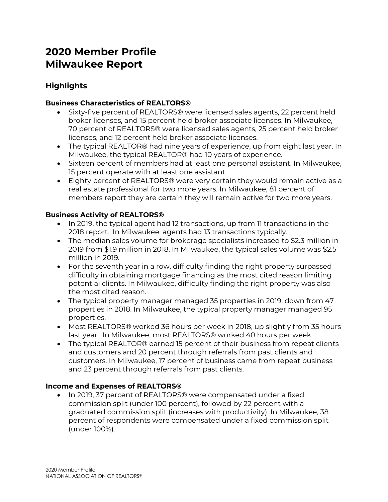# **2020 Member Profile Milwaukee Report**

### **Highlights**

#### **Business Characteristics of REALTORS®**

- Sixty-five percent of REALTORS® were licensed sales agents, 22 percent held broker licenses, and 15 percent held broker associate licenses. In Milwaukee, 70 percent of REALTORS® were licensed sales agents, 25 percent held broker licenses, and 12 percent held broker associate licenses.
- The typical REALTOR® had nine years of experience, up from eight last year. In Milwaukee, the typical REALTOR® had 10 years of experience.
- Sixteen percent of members had at least one personal assistant. In Milwaukee, 15 percent operate with at least one assistant.
- Eighty percent of REALTORS® were very certain they would remain active as a real estate professional for two more years. In Milwaukee, 81 percent of members report they are certain they will remain active for two more years.

#### **Business Activity of REALTORS®**

- In 2019, the typical agent had 12 transactions, up from 11 transactions in the 2018 report. In Milwaukee, agents had 13 transactions typically.
- The median sales volume for brokerage specialists increased to \$2.3 million in 2019 from \$1.9 million in 2018. In Milwaukee, the typical sales volume was \$2.5 million in 2019.
- For the seventh year in a row, difficulty finding the right property surpassed difficulty in obtaining mortgage financing as the most cited reason limiting potential clients. In Milwaukee, difficulty finding the right property was also the most cited reason.
- The typical property manager managed 35 properties in 2019, down from 47 properties in 2018. In Milwaukee, the typical property manager managed 95 properties.
- Most REALTORS® worked 36 hours per week in 2018, up slightly from 35 hours last year. In Milwaukee, most REALTORS® worked 40 hours per week.
- The typical REALTOR® earned 15 percent of their business from repeat clients and customers and 20 percent through referrals from past clients and customers. In Milwaukee, 17 percent of business came from repeat business and 23 percent through referrals from past clients.

#### **Income and Expenses of REALTORS®**

• In 2019, 37 percent of REALTORS® were compensated under a fixed commission split (under 100 percent), followed by 22 percent with a graduated commission split (increases with productivity). In Milwaukee, 38 percent of respondents were compensated under a fixed commission split (under 100%).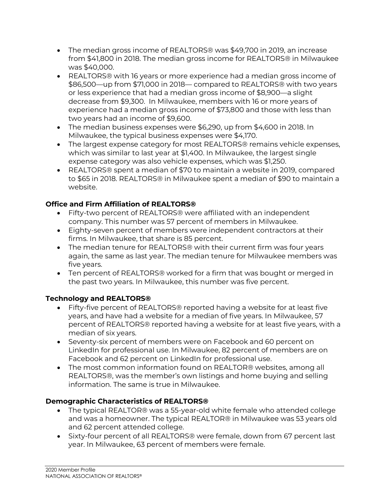- The median gross income of REALTORS® was \$49,700 in 2019, an increase from \$41,800 in 2018. The median gross income for REALTORS® in Milwaukee was \$40,000.
- REALTORS® with 16 years or more experience had a median gross income of \$86,500—up from \$71,000 in 2018— compared to REALTORS® with two years or less experience that had a median gross income of \$8,900—a slight decrease from \$9,300. In Milwaukee, members with 16 or more years of experience had a median gross income of \$73,800 and those with less than two years had an income of \$9,600.
- The median business expenses were \$6,290, up from \$4,600 in 2018. In Milwaukee, the typical business expenses were \$4,170.
- The largest expense category for most REALTORS® remains vehicle expenses, which was similar to last year at \$1,400. In Milwaukee, the largest single expense category was also vehicle expenses, which was \$1,250.
- REALTORS® spent a median of \$70 to maintain a website in 2019, compared to \$65 in 2018. REALTORS® in Milwaukee spent a median of \$90 to maintain a website.

#### **Office and Firm Affiliation of REALTORS®**

- Fifty-two percent of REALTORS® were affiliated with an independent company. This number was 57 percent of members in Milwaukee.
- Eighty-seven percent of members were independent contractors at their firms. In Milwaukee, that share is 85 percent.
- The median tenure for REALTORS® with their current firm was four years again, the same as last year. The median tenure for Milwaukee members was five years.
- Ten percent of REALTORS® worked for a firm that was bought or merged in the past two years. In Milwaukee, this number was five percent.

#### **Technology and REALTORS®**

- Fifty-five percent of REALTORS® reported having a website for at least five years, and have had a website for a median of five years. In Milwaukee, 57 percent of REALTORS® reported having a website for at least five years, with a median of six years.
- Seventy-six percent of members were on Facebook and 60 percent on LinkedIn for professional use. In Milwaukee, 82 percent of members are on Facebook and 62 percent on LinkedIn for professional use.
- The most common information found on REALTOR® websites, among all REALTORS®, was the member's own listings and home buying and selling information. The same is true in Milwaukee.

#### **Demographic Characteristics of REALTORS®**

- The typical REALTOR® was a 55-year-old white female who attended college and was a homeowner. The typical REALTOR® in Milwaukee was 53 years old and 62 percent attended college.
- Sixty-four percent of all REALTORS® were female, down from 67 percent last year. In Milwaukee, 63 percent of members were female.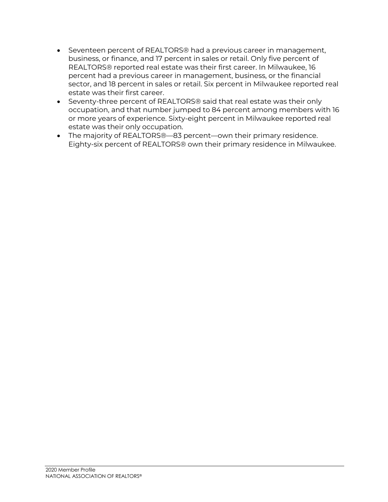- Seventeen percent of REALTORS® had a previous career in management, business, or finance, and 17 percent in sales or retail. Only five percent of REALTORS® reported real estate was their first career. In Milwaukee, 16 percent had a previous career in management, business, or the financial sector, and 18 percent in sales or retail. Six percent in Milwaukee reported real estate was their first career.
- Seventy-three percent of REALTORS® said that real estate was their only occupation, and that number jumped to 84 percent among members with 16 or more years of experience. Sixty-eight percent in Milwaukee reported real estate was their only occupation.
- The majority of REALTORS®—83 percent—own their primary residence. Eighty-six percent of REALTORS® own their primary residence in Milwaukee.